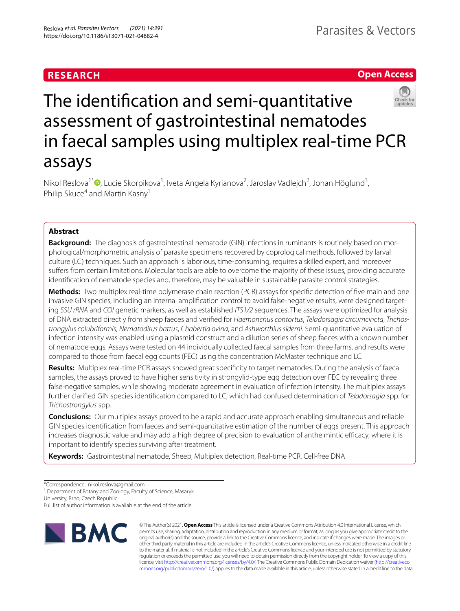## **RESEARCH**

**Open Access**

# The identifcation and semi-quantitative assessment of gastrointestinal nematodes in faecal samples using multiplex real-time PCR assays

Nikol Reslova<sup>1\*</sup> <sup>(D</sup>[,](http://orcid.org/0000-0001-7144-6323) Lucie Skorpikova<sup>1</sup>, Iveta Angela Kyrianova<sup>2</sup>, Jaroslav Vadlejch<sup>2</sup>, Johan Höglund<sup>3</sup>, Philip Skuce<sup>4</sup> and Martin Kasny<sup>1</sup>

## **Abstract**

**Background:** The diagnosis of gastrointestinal nematode (GIN) infections in ruminants is routinely based on morphological/morphometric analysis of parasite specimens recovered by coprological methods, followed by larval culture (LC) techniques. Such an approach is laborious, time-consuming, requires a skilled expert, and moreover sufers from certain limitations. Molecular tools are able to overcome the majority of these issues, providing accurate identifcation of nematode species and, therefore, may be valuable in sustainable parasite control strategies.

**Methods:** Two multiplex real-time polymerase chain reaction (PCR) assays for specifc detection of fve main and one invasive GIN species, including an internal amplifcation control to avoid false-negative results, were designed targeting *SSU rRNA* and *COI* genetic markers, as well as established *ITS1/2* sequences. The assays were optimized for analysis of DNA extracted directly from sheep faeces and verifed for *Haemonchus contortus*, *Teladorsagia circumcincta*, *Trichostrongylus colubriformis*, *Nematodirus battus*, *Chabertia ovina*, and *Ashworthius sidemi*. Semi-quantitative evaluation of infection intensity was enabled using a plasmid construct and a dilution series of sheep faeces with a known number of nematode eggs. Assays were tested on 44 individually collected faecal samples from three farms, and results were compared to those from faecal egg counts (FEC) using the concentration McMaster technique and LC.

**Results:** Multiplex real-time PCR assays showed great specifcity to target nematodes. During the analysis of faecal samples, the assays proved to have higher sensitivity in strongylid-type egg detection over FEC by revealing three false-negative samples, while showing moderate agreement in evaluation of infection intensity. The multiplex assays further clarifed GIN species identifcation compared to LC, which had confused determination of *Teladorsagia* spp. for *Trichostrongylus* spp.

**Conclusions:** Our multiplex assays proved to be a rapid and accurate approach enabling simultaneous and reliable GIN species identifcation from faeces and semi-quantitative estimation of the number of eggs present. This approach increases diagnostic value and may add a high degree of precision to evaluation of anthelmintic efficacy, where it is important to identify species surviving after treatment.

**Keywords:** Gastrointestinal nematode, Sheep, Multiplex detection, Real-time PCR, Cell-free DNA

<sup>1</sup> Department of Botany and Zoology, Faculty of Science, Masaryk

University, Brno, Czech Republic

Full list of author information is available at the end of the article



© The Author(s) 2021. **Open Access** This article is licensed under a Creative Commons Attribution 4.0 International License, which permits use, sharing, adaptation, distribution and reproduction in any medium or format, as long as you give appropriate credit to the original author(s) and the source, provide a link to the Creative Commons licence, and indicate if changes were made. The images or other third party material in this article are included in the article's Creative Commons licence, unless indicated otherwise in a credit line to the material. If material is not included in the article's Creative Commons licence and your intended use is not permitted by statutory regulation or exceeds the permitted use, you will need to obtain permission directly from the copyright holder. To view a copy of this licence, visit [http://creativecommons.org/licenses/by/4.0/.](http://creativecommons.org/licenses/by/4.0/) The Creative Commons Public Domain Dedication waiver ([http://creativeco](http://creativecommons.org/publicdomain/zero/1.0/) [mmons.org/publicdomain/zero/1.0/](http://creativecommons.org/publicdomain/zero/1.0/)) applies to the data made available in this article, unless otherwise stated in a credit line to the data.

<sup>\*</sup>Correspondence: nikol.reslova@gmail.com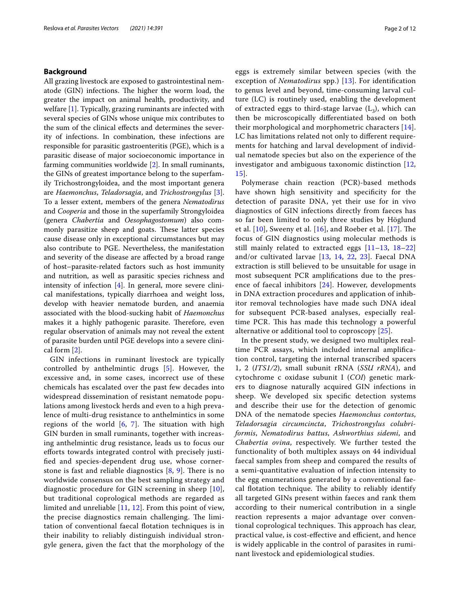## **Background**

All grazing livestock are exposed to gastrointestinal nematode (GIN) infections. The higher the worm load, the greater the impact on animal health, productivity, and welfare [[1](#page-10-0)]. Typically, grazing ruminants are infected with several species of GINs whose unique mix contributes to the sum of the clinical efects and determines the severity of infections. In combination, these infections are responsible for parasitic gastroenteritis (PGE), which is a parasitic disease of major socioeconomic importance in farming communities worldwide [[2\]](#page-10-1). In small ruminants, the GINs of greatest importance belong to the superfamily Trichostrongyloidea, and the most important genera are *Haemonchus*, *Teladorsagia*, and *Trichostrongylus* [\[3](#page-10-2)]. To a lesser extent, members of the genera *Nematodirus* and *Cooperia* and those in the superfamily Strongyloidea (genera *Chabertia* and *Oesophagostomum*) also commonly parasitize sheep and goats. These latter species cause disease only in exceptional circumstances but may also contribute to PGE. Nevertheless, the manifestation and severity of the disease are afected by a broad range of host–parasite-related factors such as host immunity and nutrition, as well as parasitic species richness and intensity of infection [\[4](#page-10-3)]. In general, more severe clinical manifestations, typically diarrhoea and weight loss, develop with heavier nematode burden, and anaemia associated with the blood-sucking habit of *Haemonchus* makes it a highly pathogenic parasite. Therefore, even regular observation of animals may not reveal the extent of parasite burden until PGE develops into a severe clinical form [\[2](#page-10-1)].

GIN infections in ruminant livestock are typically controlled by anthelmintic drugs [[5\]](#page-10-4). However, the excessive and, in some cases, incorrect use of these chemicals has escalated over the past few decades into widespread dissemination of resistant nematode populations among livestock herds and even to a high prevalence of multi-drug resistance to anthelmintics in some regions of the world  $[6, 7]$  $[6, 7]$  $[6, 7]$ . The situation with high GIN burden in small ruminants, together with increasing anthelmintic drug resistance, leads us to focus our eforts towards integrated control with precisely justifed and species-dependent drug use, whose cornerstone is fast and reliable diagnostics  $[8, 9]$  $[8, 9]$  $[8, 9]$  $[8, 9]$ . There is no worldwide consensus on the best sampling strategy and diagnostic procedure for GIN screening in sheep [[10\]](#page-10-9), but traditional coprological methods are regarded as limited and unreliable [[11,](#page-11-0) [12](#page-11-1)]. From this point of view, the precise diagnostics remain challenging. The limitation of conventional faecal fotation techniques is in their inability to reliably distinguish individual strongyle genera, given the fact that the morphology of the eggs is extremely similar between species (with the exception of *Nematodirus* spp.) [[13](#page-11-2)]. For identifcation to genus level and beyond, time-consuming larval culture (LC) is routinely used, enabling the development of extracted eggs to third-stage larvae  $(L_3)$ , which can then be microscopically diferentiated based on both their morphological and morphometric characters [[14](#page-11-3)]. LC has limitations related not only to diferent requirements for hatching and larval development of individual nematode species but also on the experience of the investigator and ambiguous taxonomic distinction [\[12](#page-11-1), [15\]](#page-11-4).

Polymerase chain reaction (PCR)-based methods have shown high sensitivity and specifcity for the detection of parasite DNA, yet their use for in vivo diagnostics of GIN infections directly from faeces has so far been limited to only three studies by Höglund et al.  $[10]$  $[10]$ , Sweeny et al.  $[16]$ , and Roeber et al.  $[17]$  $[17]$ . The focus of GIN diagnostics using molecular methods is still mainly related to extracted eggs [[11–](#page-11-0)[13](#page-11-2), [18](#page-11-7)[–22](#page-11-8)] and/or cultivated larvae [\[13](#page-11-2), [14,](#page-11-3) [22,](#page-11-8) [23](#page-11-9)]. Faecal DNA extraction is still believed to be unsuitable for usage in most subsequent PCR amplifcations due to the presence of faecal inhibitors [[24\]](#page-11-10). However, developments in DNA extraction procedures and application of inhibitor removal technologies have made such DNA ideal for subsequent PCR-based analyses, especially realtime PCR. This has made this technology a powerful alternative or additional tool to coproscopy  $[25]$  $[25]$ .

In the present study, we designed two multiplex realtime PCR assays, which included internal amplifcation control, targeting the internal transcribed spacers 1, 2 (*ITS1/2*), small subunit rRNA (*SSU rRNA*), and cytochrome c oxidase subunit I (*COI*) genetic markers to diagnose naturally acquired GIN infections in sheep. We developed six specifc detection systems and describe their use for the detection of genomic DNA of the nematode species *Haemonchus contortus*, *Teladorsagia circumcincta*, *Trichostrongylus colubriformis*, *Nematodirus battus*, *Ashworthius sidemi*, and *Chabertia ovina*, respectively. We further tested the functionality of both multiplex assays on 44 individual faecal samples from sheep and compared the results of a semi-quantitative evaluation of infection intensity to the egg enumerations generated by a conventional faecal flotation technique. The ability to reliably identify all targeted GINs present within faeces and rank them according to their numerical contribution in a single reaction represents a major advantage over conventional coprological techniques. This approach has clear, practical value, is cost-effective and efficient, and hence is widely applicable in the control of parasites in ruminant livestock and epidemiological studies.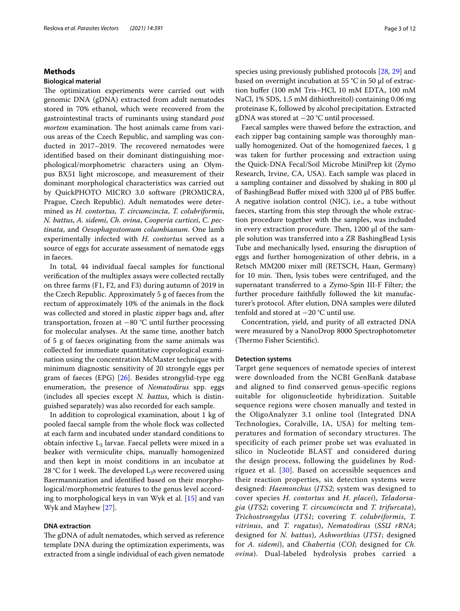## **Methods**

## **Biological material**

The optimization experiments were carried out with genomic DNA (gDNA) extracted from adult nematodes stored in 70% ethanol, which were recovered from the gastrointestinal tracts of ruminants using standard *post mortem* examination. The host animals came from various areas of the Czech Republic, and sampling was conducted in 2017–2019. The recovered nematodes were identifed based on their dominant distinguishing morphological/morphometric characters using an Olympus BX51 light microscope, and measurement of their dominant morphological characteristics was carried out by QuickPHOTO MICRO 3.0 software (PROMICRA, Prague, Czech Republic). Adult nematodes were determined as *H. contortus*, *T. circumcincta*, *T. colubriformis*, *N. battus*, *A. sidemi*, *Ch. ovina*, *Cooperia curticei*, *C. pectinata*, and *Oesophagostomum columbianum*. One lamb experimentally infected with *H. contortus* served as a source of eggs for accurate assessment of nematode eggs in faeces.

In total, 44 individual faecal samples for functional verifcation of the multiplex assays were collected rectally on three farms (F1, F2, and F3) during autumn of 2019 in the Czech Republic. Approximately 5 g of faeces from the rectum of approximately 10% of the animals in the fock was collected and stored in plastic zipper bags and, after transportation, frozen at −80 °C until further processing for molecular analyses. At the same time, another batch of 5 g of faeces originating from the same animals was collected for immediate quantitative coprological examination using the concentration McMaster technique with minimum diagnostic sensitivity of 20 strongyle eggs per gram of faeces (EPG) [[26](#page-11-12)]. Besides strongylid-type egg enumeration, the presence of *Nematodirus* spp. eggs (includes all species except *N. battus*, which is distinguished separately) was also recorded for each sample.

In addition to coprological examination, about 1 kg of pooled faecal sample from the whole fock was collected at each farm and incubated under standard conditions to obtain infective  $L_3$  larvae. Faecal pellets were mixed in a beaker with vermiculite chips, manually homogenized and then kept in moist conditions in an incubator at 28 °C for 1 week. The developed  $L_3$ s were recovered using Baermannization and identifed based on their morphological/morphometric features to the genus level according to morphological keys in van Wyk et al. [\[15](#page-11-4)] and van Wyk and Mayhew [[27\]](#page-11-13).

## **DNA extraction**

The gDNA of adult nematodes, which served as reference template DNA during the optimization experiments, was extracted from a single individual of each given nematode species using previously published protocols [[28,](#page-11-14) [29\]](#page-11-15) and based on overnight incubation at 55 °C in 50 μl of extraction bufer (100 mM Tris–HCl, 10 mM EDTA, 100 mM NaCl, 1% SDS, 1.5 mM dithiothreitol) containing 0.06 mg proteinase K, followed by alcohol precipitation. Extracted gDNA was stored at −20 °C until processed.

Faecal samples were thawed before the extraction, and each zipper bag containing sample was thoroughly manually homogenized. Out of the homogenized faeces, 1 g was taken for further processing and extraction using the Quick-DNA Fecal/Soil Microbe MiniPrep kit (Zymo Research, Irvine, CA, USA). Each sample was placed in a sampling container and dissolved by shaking in 800 μl of BashingBead Bufer mixed with 3200 μl of PBS bufer. A negative isolation control (NIC), i.e., a tube without faeces, starting from this step through the whole extraction procedure together with the samples, was included in every extraction procedure. Then,  $1200 \mu$  of the sample solution was transferred into a ZR BashingBead Lysis Tube and mechanically lysed, ensuring the disruption of eggs and further homogenization of other debris, in a Retsch MM200 mixer mill (RETSCH, Haan, Germany) for 10 min. Then, lysis tubes were centrifuged, and the supernatant transferred to a Zymo-Spin III-F Filter; the further procedure faithfully followed the kit manufacturer's protocol. After elution, DNA samples were diluted tenfold and stored at −20 °C until use.

Concentration, yield, and purity of all extracted DNA were measured by a NanoDrop 8000 Spectrophotometer (Thermo Fisher Scientific).

#### **Detection systems**

Target gene sequences of nematode species of interest were downloaded from the NCBI GenBank database and aligned to find conserved genus-specific regions suitable for oligonucleotide hybridization. Suitable sequence regions were chosen manually and tested in the OligoAnalyzer 3.1 online tool (Integrated DNA Technologies, Coralville, IA, USA) for melting temperatures and formation of secondary structures. The specificity of each primer probe set was evaluated in silico in Nucleotide BLAST and considered during the design process, following the guidelines by Rodríguez et al. [[30](#page-11-16)]. Based on accessible sequences and their reaction properties, six detection systems were designed: *Haemonchus* (*ITS2*; system was designed to cover species *H. contortus* and *H. placei*), *Teladorsagia* (*ITS2*; covering *T. circumcincta* and *T. trifurcata*), *Trichostrongylus* (*ITS1*; covering *T. colubriformis*, *T. vitrinus*, and *T. rugatus*), *Nematodirus* (*SSU rRNA*; designed for *N. battus*), *Ashworthius* (*ITS1*; designed for *A. sidemi*), and *Chabertia* (*COI*; designed for *Ch. ovina*). Dual-labeled hydrolysis probes carried a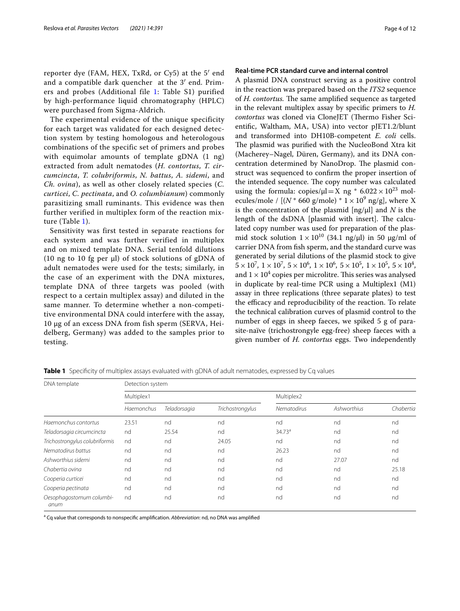reporter dye (FAM, HEX, TxRd, or Cy5) at the 5′ end and a compatible dark quencher at the 3′ end. Primers and probes (Additional file [1:](#page-10-10) Table S1) purified by high-performance liquid chromatography (HPLC) were purchased from Sigma-Aldrich.

The experimental evidence of the unique specificity for each target was validated for each designed detection system by testing homologous and heterologous combinations of the specific set of primers and probes with equimolar amounts of template gDNA  $(1 \text{ ng})$ extracted from adult nematodes (*H. contortus*, *T. circumcincta*, *T. colubriformis*, *N. battus*, *A. sidemi*, and *Ch. ovina*), as well as other closely related species (*C. curticei*, *C. pectinata*, and *O. columbianum*) commonly parasitizing small ruminants. This evidence was then further verified in multiplex form of the reaction mixture (Table [1\)](#page-3-0).

Sensitivity was first tested in separate reactions for each system and was further verified in multiplex and on mixed template DNA. Serial tenfold dilutions (10 ng to 10 fg per μl) of stock solutions of gDNA of adult nematodes were used for the tests; similarly, in the case of an experiment with the DNA mixtures, template DNA of three targets was pooled (with respect to a certain multiplex assay) and diluted in the same manner. To determine whether a non-competitive environmental DNA could interfere with the assay, 10 µg of an excess DNA from fish sperm (SERVA, Heidelberg, Germany) was added to the samples prior to testing.

## **Real‑time PCR standard curve and internal control**

A plasmid DNA construct serving as a positive control in the reaction was prepared based on the *ITS2* sequence of *H. contortus*. The same amplified sequence as targeted in the relevant multiplex assay by specifc primers to *H. contortus* was cloned via CloneJET (Thermo Fisher Scientifc, Waltham, MA, USA) into vector pJET1.2/blunt and transformed into DH10B-competent *E. coli* cells. The plasmid was purified with the NucleoBond Xtra kit (Macherey–Nagel, Düren, Germany), and its DNA concentration determined by NanoDrop. The plasmid construct was sequenced to confrm the proper insertion of the intended sequence. The copy number was calculated using the formula: copies/ $\mu$ l = X ng \* 6.022 × 10<sup>23</sup> molecules/mole /  $[(N * 660 \text{ g/mole}) * 1 \times 10^9 \text{ ng/g}],$  where X is the concentration of the plasmid [ng/μl] and *N* is the length of the dsDNA [plasmid with insert]. The calculated copy number was used for preparation of the plasmid stock solution  $1 \times 10^{10}$  (34.1 ng/µl) in 50 µg/ml of carrier DNA from fsh sperm, and the standard curve was generated by serial dilutions of the plasmid stock to give  $5 \times 10^7$ ,  $1 \times 10^7$ ,  $5 \times 10^6$ ,  $1 \times 10^6$ ,  $5 \times 10^5$ ,  $1 \times 10^5$ ,  $5 \times 10^4$ , and  $1 \times 10^4$  copies per microlitre. This series was analysed in duplicate by real-time PCR using a Multiplex1 (M1) assay in three replications (three separate plates) to test the efficacy and reproducibility of the reaction. To relate the technical calibration curves of plasmid control to the number of eggs in sheep faeces, we spiked 5 g of parasite-naïve (trichostrongyle egg-free) sheep faeces with a given number of *H. contortus* eggs. Two independently

| DNA template                     | Detection system |              |                  |                    |             |           |  |  |
|----------------------------------|------------------|--------------|------------------|--------------------|-------------|-----------|--|--|
|                                  | Multiplex1       |              |                  | Multiplex2         |             |           |  |  |
|                                  | Haemonchus       | Teladorsagia | Trichostrongylus | <b>Nematodirus</b> | Ashworthius | Chabertia |  |  |
| Haemonchus contortus             | 23.51            | nd           | nd               | nd                 | nd          | nd        |  |  |
| Teladorsagia circumcincta        | nd               | 25.54        | nd               | 34.73 <sup>a</sup> | nd          | nd        |  |  |
| Trichostrongylus colubriformis   | nd               | nd           | 24.05            | nd                 | nd          | nd        |  |  |
| Nematodirus battus               | nd               | nd           | nd               | 26.23              | nd          | nd        |  |  |
| Ashworthius sidemi               | nd               | nd           | nd               | nd                 | 27.07       | nd        |  |  |
| Chabertia ovina                  | nd               | nd           | nd               | nd                 | nd          | 25.18     |  |  |
| Cooperia curticei                | nd               | nd           | nd               | nd                 | nd          | nd        |  |  |
| Cooperia pectinata               | nd               | nd           | nd               | nd                 | nd          | nd        |  |  |
| Oesophagostomum columbi-<br>anum | nd               | nd           | nd               | nd                 | nd          | nd        |  |  |

<span id="page-3-0"></span>**Table 1** Specificity of multiplex assays evaluated with gDNA of adult nematodes, expressed by Cq values

a Cq value that corresponds to nonspecifc amplifcation. *Abbreviation*: nd, no DNA was amplifed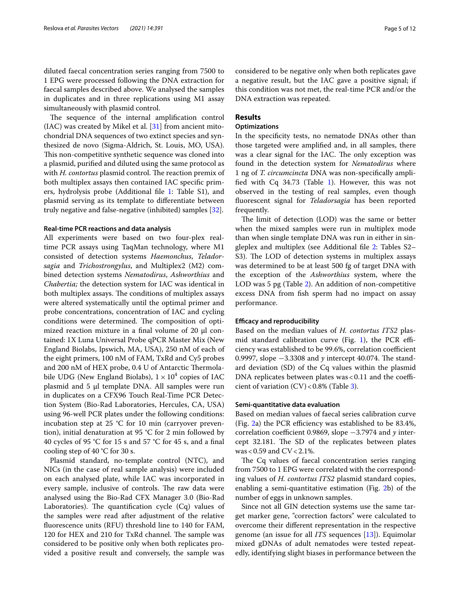diluted faecal concentration series ranging from 7500 to 1 EPG were processed following the DNA extraction for faecal samples described above. We analysed the samples in duplicates and in three replications using M1 assay simultaneously with plasmid control.

The sequence of the internal amplification control  $(IAC)$  was created by Mikel et al.  $[31]$  $[31]$  from ancient mitochondrial DNA sequences of two extinct species and synthesized de novo (Sigma-Aldrich, St. Louis, MO, USA). This non-competitive synthetic sequence was cloned into a plasmid, purifed and diluted using the same protocol as with *H. contortus* plasmid control. The reaction premix of both multiplex assays then contained IAC specifc primers, hydrolysis probe (Additional fle [1](#page-10-10): Table S1), and plasmid serving as its template to diferentiate between truly negative and false-negative (inhibited) samples [\[32](#page-11-18)].

#### **Real‑time PCR reactions and data analysis**

All experiments were based on two four-plex realtime PCR assays using TaqMan technology, where M1 consisted of detection systems *Haemonchus*, *Teladorsagia* and *Trichostrongylus*, and Multiplex2 (M2) combined detection systems *Nematodirus*, *Ashworthius* and *Chabertia;* the detection system for IAC was identical in both multiplex assays. The conditions of multiplex assays were altered systematically until the optimal primer and probe concentrations, concentration of IAC and cycling conditions were determined. The composition of optimized reaction mixture in a final volume of 20 μl contained: 1X Luna Universal Probe qPCR Master Mix (New England Biolabs, Ipswich, MA, USA), 250 nM of each of the eight primers, 100 nM of FAM, TxRd and Cy5 probes and 200 nM of HEX probe, 0.4 U of Antarctic Thermolabile UDG (New England Biolabs),  $1 \times 10^4$  copies of IAC plasmid and 5 μl template DNA. All samples were run in duplicates on a CFX96 Touch Real-Time PCR Detection System (Bio-Rad Laboratories, Hercules, CA, USA) using 96-well PCR plates under the following conditions: incubation step at  $25$  °C for 10 min (carryover prevention), initial denaturation at 95 °C for 2 min followed by 40 cycles of 95 °C for 15 s and 57 °C for 45 s, and a fnal cooling step of 40 °C for 30 s.

Plasmid standard, no-template control (NTC), and NICs (in the case of real sample analysis) were included on each analysed plate, while IAC was incorporated in every sample, inclusive of controls. The raw data were analysed using the Bio-Rad CFX Manager 3.0 (Bio-Rad Laboratories). The quantification cycle  $(Cq)$  values of the samples were read after adjustment of the relative fuorescence units (RFU) threshold line to 140 for FAM, 120 for HEX and 210 for TxRd channel. The sample was considered to be positive only when both replicates provided a positive result and conversely, the sample was considered to be negative only when both replicates gave a negative result, but the IAC gave a positive signal; if this condition was not met, the real-time PCR and/or the DNA extraction was repeated.

## **Results**

## **Optimizations**

In the specifcity tests, no nematode DNAs other than those targeted were amplifed and, in all samples, there was a clear signal for the IAC. The only exception was found in the detection system for *Nematodirus* where 1 ng of *T. circumcincta* DNA was non-specifcally amplified with  $Cq$  34.73 (Table [1](#page-3-0)). However, this was not observed in the testing of real samples, even though fuorescent signal for *Teladorsagia* has been reported frequently.

The limit of detection (LOD) was the same or better when the mixed samples were run in multiplex mode than when single template DNA was run in either in singleplex and multiplex (see Additional fle [2:](#page-10-11) Tables S2– S3). The LOD of detection systems in multiplex assays was determined to be at least 500 fg of target DNA with the exception of the *Ashworthius* system, where the LOD was 5 pg (Table [2\)](#page-5-0). An addition of non-competitive excess DNA from fsh sperm had no impact on assay performance.

#### **Efficacy and reproducibility**

Based on the median values of *H. contortus ITS2* plas-mid standard calibration curve (Fig. [1\)](#page-5-1), the PCR efficiency was established to be 99.6%, correlation coefficient 0.9997, slope −3.3308 and *y* intercept 40.074. The standard deviation (SD) of the Cq values within the plasmid DNA replicates between plates was  $< 0.11$  and the coefficient of variation  $(CV) < 0.8\%$  (Table [3\)](#page-5-2).

#### **Semi‑quantitative data evaluation**

Based on median values of faecal series calibration curve (Fig.  $2a$ ) the PCR efficiency was established to be 83.4%, correlation coefficient 0.9869, slope −3.7974 and *y* intercept 32.181. The SD of the replicates between plates  $was < 0.59$  and  $CV < 2.1\%$ .

The Cq values of faecal concentration series ranging from 7500 to 1 EPG were correlated with the corresponding values of *H. contortus ITS2* plasmid standard copies, enabling a semi-quantitative estimation (Fig. [2](#page-6-0)b) of the number of eggs in unknown samples.

Since not all GIN detection systems use the same target marker gene, "correction factors" were calculated to overcome their diferent representation in the respective genome (an issue for all *ITS* sequences [[13\]](#page-11-2)). Equimolar mixed gDNAs of adult nematodes were tested repeatedly, identifying slight biases in performance between the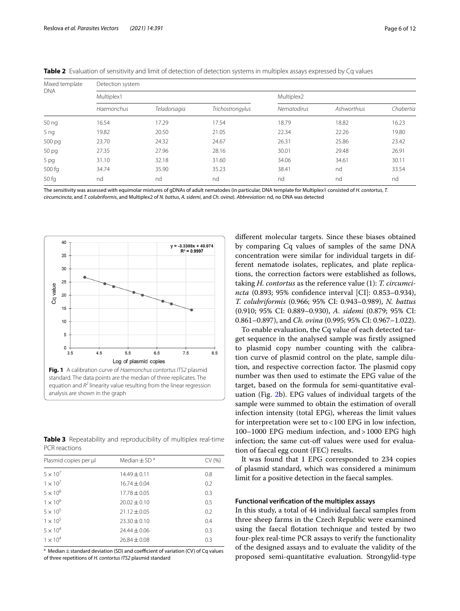| Mixed template<br><b>DNA</b> | Detection system  |              |                  |             |             |           |  |  |
|------------------------------|-------------------|--------------|------------------|-------------|-------------|-----------|--|--|
|                              | Multiplex1        |              |                  | Multiplex2  |             |           |  |  |
|                              | <b>Haemonchus</b> | Teladorsagia | Trichostrongylus | Nematodirus | Ashworthius | Chabertia |  |  |
| 50 ng                        | 16.54             | 17.29        | 17.54            | 18.79       | 18.82       | 16.23     |  |  |
| 5 <sub>ng</sub>              | 19.82             | 20.50        | 21.05            | 22.34       | 22.26       | 19.80     |  |  |
| 500 pg                       | 23.70             | 24.32        | 24.67            | 26.31       | 25.86       | 23.42     |  |  |
| 50 <sub>pq</sub>             | 27.35             | 27.96        | 28.16            | 30.01       | 29.48       | 26.91     |  |  |
| 5 pg                         | 31.10             | 32.18        | 31.60            | 34.06       | 34.61       | 30.11     |  |  |
| 500 fg                       | 34.74             | 35.90        | 35.23            | 38.41       | nd          | 33.54     |  |  |
| 50 <sub>q</sub>              | nd                | nd           | nd               | nd          | nd          | nd        |  |  |

<span id="page-5-0"></span>**Table 2** Evaluation of sensitivity and limit of detection of detection systems in multiplex assays expressed by Cq values

The sensitivity was assessed with equimolar mixtures of gDNAs of adult nematodes (in particular, DNA template for Multiplex1 consisted of *H. contortus*, *T. circumcincta*, and *T. colubriformis*, and Multiplex2 of *N. battus*, *A. sidemi*, and *Ch. ovina*). *Abbreviation:* nd, no DNA was detected



<span id="page-5-2"></span><span id="page-5-1"></span>**Table 3** Repeatability and reproducibility of multiplex real-time PCR reactions

| Plasmid copies per µl | Median $\pm$ SD <sup>a</sup> | CV(% ) |
|-----------------------|------------------------------|--------|
| $5 \times 10^7$       | $14.49 + 0.11$               | 0.8    |
| $1 \times 10^7$       | $16.74 \pm 0.04$             | 0.2    |
| $5 \times 10^{6}$     | $17.78 + 0.05$               | 0.3    |
| $1 \times 10^{6}$     | $20.02 \pm 0.10$             | 0.5    |
| $5 \times 10^{5}$     | $21.12 \pm 0.05$             | 0.2    |
| $1 \times 10^{5}$     | $23.30 \pm 0.10$             | 0.4    |
| $5 \times 10^{4}$     | $24.44 \pm 0.06$             | 0.3    |
| $1 \times 10^{4}$     | $76.84 + 0.08$               | 0.3    |
|                       |                              |        |

<sup>a</sup> Median  $\pm$  standard deviation (SD) and coefficient of variation (CV) of Cq values of three repetitions of *H. contortus ITS2* plasmid standard

diferent molecular targets. Since these biases obtained by comparing Cq values of samples of the same DNA concentration were similar for individual targets in different nematode isolates, replicates, and plate replications, the correction factors were established as follows, taking *H. contortus* as the reference value (1): *T. circumcincta* (0.893; 95% confdence interval [CI]: 0.853–0.934), *T. colubriformis* (0.966; 95% CI: 0.943–0.989), *N. battus* (0.910; 95% CI: 0.889–0.930), *A. sidemi* (0.879; 95% CI: 0.861–0.897), and *Ch. ovina* (0.995; 95% CI: 0.967–1.022).

To enable evaluation, the Cq value of each detected target sequence in the analysed sample was frstly assigned to plasmid copy number counting with the calibration curve of plasmid control on the plate, sample dilution, and respective correction factor. The plasmid copy number was then used to estimate the EPG value of the target, based on the formula for semi-quantitative evaluation (Fig. [2](#page-6-0)b). EPG values of individual targets of the sample were summed to obtain the estimation of overall infection intensity (total EPG), whereas the limit values for interpretation were set to<100 EPG in low infection, 100–1000 EPG medium infection, and>1000 EPG high infection; the same cut-off values were used for evaluation of faecal egg count (FEC) results.

It was found that 1 EPG corresponded to 234 copies of plasmid standard, which was considered a minimum limit for a positive detection in the faecal samples.

## **Functional verifcation of the multiplex assays**

In this study, a total of 44 individual faecal samples from three sheep farms in the Czech Republic were examined using the faecal fotation technique and tested by two four-plex real-time PCR assays to verify the functionality of the designed assays and to evaluate the validity of the proposed semi-quantitative evaluation. Strongylid-type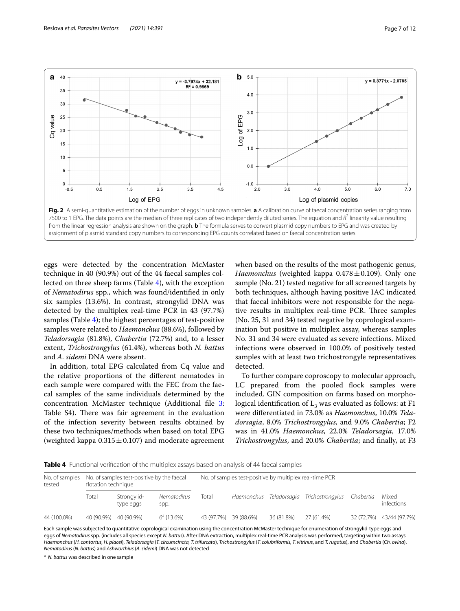

<span id="page-6-0"></span>eggs were detected by the concentration McMaster technique in 40 (90.9%) out of the 44 faecal samples collected on three sheep farms (Table [4](#page-6-1)), with the exception of *Nematodirus* spp., which was found/identifed in only six samples (13.6%). In contrast, strongylid DNA was detected by the multiplex real-time PCR in 43 (97.7%) samples (Table [4](#page-6-1)); the highest percentages of test-positive samples were related to *Haemonchus* (88.6%), followed by *Teladorsagia* (81.8%), *Chabertia* (72.7%) and, to a lesser extent, *Trichostrongylus* (61.4%), whereas both *N. battus* and *A. sidemi* DNA were absent.

In addition, total EPG calculated from Cq value and the relative proportions of the diferent nematodes in each sample were compared with the FEC from the faecal samples of the same individuals determined by the concentration McMaster technique (Additional fle [3](#page-10-12): Table S4). There was fair agreement in the evaluation of the infection severity between results obtained by these two techniques/methods when based on total EPG (weighted kappa  $0.315 \pm 0.107$ ) and moderate agreement

when based on the results of the most pathogenic genus, *Haemonchus* (weighted kappa 0.478±0.109). Only one sample (No. 21) tested negative for all screened targets by both techniques, although having positive IAC indicated that faecal inhibitors were not responsible for the negative results in multiplex real-time PCR. Three samples (No. 25, 31 and 34) tested negative by coprological examination but positive in multiplex assay, whereas samples No. 31 and 34 were evaluated as severe infections. Mixed infections were observed in 100.0% of positively tested samples with at least two trichostrongyle representatives detected.

To further compare coproscopy to molecular approach, LC prepared from the pooled flock samples were included. GIN composition on farms based on morphological identification of  $L_3$  was evaluated as follows: at F1 were diferentiated in 73.0% as *Haemonchus*, 10.0% *Teladorsagia*, 8.0% *Trichostrongylus*, and 9.0% *Chabertia*; F2 was in 41.0% *Haemonchus*, 22.0% *Teladorsagia*, 17.0% *Trichostrongylus*, and 20.0% *Chabertia*; and fnally, at F3

<span id="page-6-1"></span>**Table 4** Functional verifcation of the multiplex assays based on analysis of 44 faecal samples

| No. of samples<br>tested | No. of samples test-positive by the faecal<br>flotation technique |                          |                     | No. of samples test-positive by multiplex real-time PCR |            |            |                                                    |  |                          |
|--------------------------|-------------------------------------------------------------------|--------------------------|---------------------|---------------------------------------------------------|------------|------------|----------------------------------------------------|--|--------------------------|
|                          | Total                                                             | Strongylid-<br>type eggs | Nematodirus<br>spp. | Total                                                   |            |            | Haemonchus Teladorsagia Trichostrongylus Chabertia |  | Mixed<br>infections      |
| 44 (100.0%)              |                                                                   | 40 (90.9%) 40 (90.9%)    | $6^a(13.6%)$        | 43 (97.7%)                                              | 39 (88.6%) | 36 (81.8%) | 27 (61.4%)                                         |  | 32 (72.7%) 43/44 (97.7%) |

Each sample was subjected to quantitative coprological examination using the concentration McMaster technique for enumeration of strongylid-type eggs and eggs of *Nematodirus* spp. (includes all species except *N. battus*). After DNA extraction, multiplex real-time PCR analysis was performed, targeting within two assays Haemonchus (H. contortus, H. placei), Teladorsagia (T. circumcincta, T. trifurcata), Trichostrongylus (T. colubriformis, T. vitrinus, and T. rugatus), and Chabertia (Ch. ovina). *Nematodirus* (*N. battus*) and *Ashworthius* (*A. sidemi*) DNA was not detected

a *N. battus* was described in one sample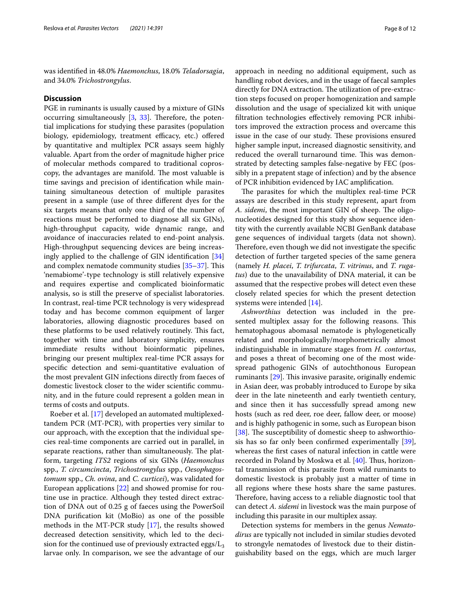was identifed in 48.0% *Haemonchus*, 18.0% *Teladorsagia*, and 34.0% *Trichostrongylus*.

#### **Discussion**

PGE in ruminants is usually caused by a mixture of GINs occurring simultaneously  $[3, 33]$  $[3, 33]$  $[3, 33]$  $[3, 33]$ . Therefore, the potential implications for studying these parasites (population biology, epidemiology, treatment efficacy, etc.) offered by quantitative and multiplex PCR assays seem highly valuable. Apart from the order of magnitude higher price of molecular methods compared to traditional coproscopy, the advantages are manifold. The most valuable is time savings and precision of identifcation while maintaining simultaneous detection of multiple parasites present in a sample (use of three diferent dyes for the six targets means that only one third of the number of reactions must be performed to diagnose all six GINs), high-throughput capacity, wide dynamic range, and avoidance of inaccuracies related to end-point analysis. High-throughput sequencing devices are being increasingly applied to the challenge of GIN identifcation [[34](#page-11-20)] and complex nematode community studies  $[35-37]$  $[35-37]$ . This 'nemabiome'-type technology is still relatively expensive and requires expertise and complicated bioinformatic analysis, so is still the preserve of specialist laboratories. In contrast, real-time PCR technology is very widespread today and has become common equipment of larger laboratories, allowing diagnostic procedures based on these platforms to be used relatively routinely. This fact, together with time and laboratory simplicity, ensures immediate results without bioinformatic pipelines, bringing our present multiplex real-time PCR assays for specifc detection and semi-quantitative evaluation of the most prevalent GIN infections directly from faeces of domestic livestock closer to the wider scientifc community, and in the future could represent a golden mean in terms of costs and outputs.

Roeber et al. [[17\]](#page-11-6) developed an automated multiplexedtandem PCR (MT-PCR), with properties very similar to our approach, with the exception that the individual species real-time components are carried out in parallel, in separate reactions, rather than simultaneously. The platform, targeting *ITS2* regions of six GINs (*Haemonchus* spp., *T. circumcincta*, *Trichostrongylus* spp., *Oesophagostomum* spp., *Ch. ovina*, and *C. curticei*), was validated for European applications [\[22](#page-11-8)] and showed promise for routine use in practice. Although they tested direct extraction of DNA out of 0.25 g of faeces using the PowerSoil DNA purifcation kit (MoBio) as one of the possible methods in the MT-PCR study [[17](#page-11-6)], the results showed decreased detection sensitivity, which led to the decision for the continued use of previously extracted eggs/ $L_3$ larvae only. In comparison, we see the advantage of our approach in needing no additional equipment, such as handling robot devices, and in the usage of faecal samples directly for DNA extraction. The utilization of pre-extraction steps focused on proper homogenization and sample dissolution and the usage of specialized kit with unique fltration technologies efectively removing PCR inhibitors improved the extraction process and overcame this issue in the case of our study. These provisions ensured higher sample input, increased diagnostic sensitivity, and reduced the overall turnaround time. This was demonstrated by detecting samples false-negative by FEC (possibly in a prepatent stage of infection) and by the absence of PCR inhibition evidenced by IAC amplifcation.

The parasites for which the multiplex real-time PCR assays are described in this study represent, apart from A. sidemi, the most important GIN of sheep. The oligonucleotides designed for this study show sequence identity with the currently available NCBI GenBank database gene sequences of individual targets (data not shown). Therefore, even though we did not investigate the specific detection of further targeted species of the same genera (namely *H. placei*, *T. trifurcata*, *T. vitrinus*, and *T. rugatus*) due to the unavailability of DNA material, it can be assumed that the respective probes will detect even these closely related species for which the present detection systems were intended [[14](#page-11-3)].

*Ashworthius* detection was included in the presented multiplex assay for the following reasons. This hematophagous abomasal nematode is phylogenetically related and morphologically/morphometrically almost indistinguishable in immature stages from *H. contortus*, and poses a threat of becoming one of the most widespread pathogenic GINs of autochthonous European ruminants  $[29]$  $[29]$ . This invasive parasite, originally endemic in Asian deer, was probably introduced to Europe by sika deer in the late nineteenth and early twentieth century, and since then it has successfully spread among new hosts (such as red deer, roe deer, fallow deer, or moose) and is highly pathogenic in some, such as European bison [ $38$ ]. The susceptibility of domestic sheep to ashworthiosis has so far only been confrmed experimentally [\[39](#page-11-24)], whereas the frst cases of natural infection in cattle were recorded in Poland by Moskwa et al. [\[40\]](#page-11-25). Thus, horizontal transmission of this parasite from wild ruminants to domestic livestock is probably just a matter of time in all regions where these hosts share the same pastures. Therefore, having access to a reliable diagnostic tool that can detect *A. sidemi* in livestock was the main purpose of including this parasite in our multiplex assay.

Detection systems for members in the genus *Nematodirus* are typically not included in similar studies devoted to strongyle nematodes of livestock due to their distinguishability based on the eggs, which are much larger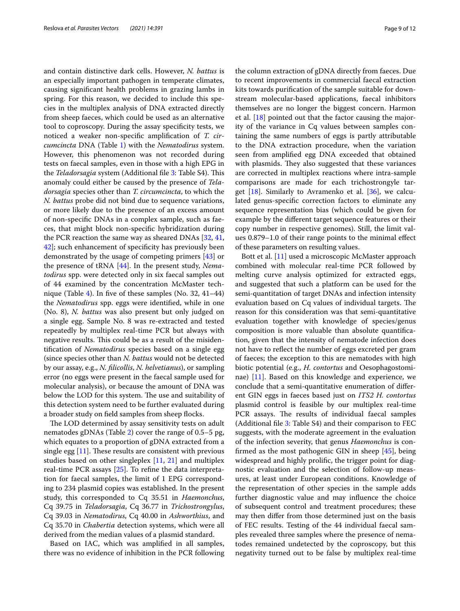and contain distinctive dark cells. However, *N. battus* is an especially important pathogen in temperate climates, causing signifcant health problems in grazing lambs in spring. For this reason, we decided to include this species in the multiplex analysis of DNA extracted directly from sheep faeces, which could be used as an alternative tool to coproscopy. During the assay specifcity tests, we noticed a weaker non-specifc amplifcation of *T. circumcincta* DNA (Table [1](#page-3-0)) with the *Nematodirus* system. However, this phenomenon was not recorded during tests on faecal samples, even in those with a high EPG in the *Teladorsagia* system (Additional file [3](#page-10-12): Table S4). This anomaly could either be caused by the presence of *Teladorsagia* species other than *T. circumcincta*, to which the *N. battus* probe did not bind due to sequence variations, or more likely due to the presence of an excess amount of non-specifc DNAs in a complex sample, such as faeces, that might block non-specifc hybridization during the PCR reaction the same way as sheared DNAs [[32,](#page-11-18) [41](#page-11-26), [42\]](#page-11-27); such enhancement of specifcity has previously been demonstrated by the usage of competing primers [[43\]](#page-11-28) or the presence of tRNA [\[44](#page-11-29)]. In the present study, *Nematodirus* spp. were detected only in six faecal samples out of 44 examined by the concentration McMaster technique (Table [4](#page-6-1)). In fve of these samples (No. 32, 41–44) the *Nematodirus* spp. eggs were identifed, while in one (No. 8), *N. battus* was also present but only judged on a single egg. Sample No. 8 was re-extracted and tested repeatedly by multiplex real-time PCR but always with negative results. This could be as a result of the misidentifcation of *Nematodirus* species based on a single egg (since species other than *N. battus* would not be detected by our assay, e.g., *N. flicollis*, *N. helvetianus*), or sampling error (no eggs were present in the faecal sample used for molecular analysis), or because the amount of DNA was below the LOD for this system. The use and suitability of this detection system need to be further evaluated during a broader study on feld samples from sheep focks.

The LOD determined by assay sensitivity tests on adult nematodes gDNAs (Table [2\)](#page-5-0) cover the range of 0.5–5 pg, which equates to a proportion of gDNA extracted from a single egg  $[11]$  $[11]$ . These results are consistent with previous studies based on other singleplex [[11](#page-11-0), [21\]](#page-11-30) and multiplex real-time PCR assays [\[25](#page-11-11)]. To refne the data interpretation for faecal samples, the limit of 1 EPG corresponding to 234 plasmid copies was established. In the present study, this corresponded to Cq 35.51 in *Haemonchus*, Cq 39.75 in *Teladorsagia*, Cq 36.77 in *Trichostrongylus*, Cq 39.03 in *Nematodirus*, Cq 40.00 in *Ashworthius*, and Cq 35.70 in *Chabertia* detection systems, which were all derived from the median values of a plasmid standard.

Based on IAC, which was amplifed in all samples, there was no evidence of inhibition in the PCR following the column extraction of gDNA directly from faeces. Due to recent improvements in commercial faecal extraction kits towards purifcation of the sample suitable for downstream molecular-based applications, faecal inhibitors themselves are no longer the biggest concern. Harmon et al. [\[18\]](#page-11-7) pointed out that the factor causing the majority of the variance in Cq values between samples containing the same numbers of eggs is partly attributable to the DNA extraction procedure, when the variation seen from amplifed egg DNA exceeded that obtained with plasmids. They also suggested that these variances are corrected in multiplex reactions where intra-sample comparisons are made for each trichostrongyle target [[18\]](#page-11-7). Similarly to Avramenko et al. [\[36](#page-11-31)], we calculated genus-specifc correction factors to eliminate any sequence representation bias (which could be given for example by the diferent target sequence features or their copy number in respective genomes). Still, the limit values 0.879–1.0 of their range points to the minimal efect of these parameters on resulting values.

Bott et al. [\[11](#page-11-0)] used a microscopic McMaster approach combined with molecular real-time PCR followed by melting curve analysis optimized for extracted eggs, and suggested that such a platform can be used for the semi-quantitation of target DNAs and infection intensity evaluation based on Cq values of individual targets. The reason for this consideration was that semi-quantitative evaluation together with knowledge of species/genus composition is more valuable than absolute quantifcation, given that the intensity of nematode infection does not have to refect the number of eggs excreted per gram of faeces; the exception to this are nematodes with high biotic potential (e.g., *H. contortus* and Oesophagostominae) [\[11](#page-11-0)]. Based on this knowledge and experience, we conclude that a semi-quantitative enumeration of diferent GIN eggs in faeces based just on *ITS2 H. contortus* plasmid control is feasible by our multiplex real-time PCR assays. The results of individual faecal samples (Additional fle [3:](#page-10-12) Table S4) and their comparison to FEC suggests, with the moderate agreement in the evaluation of the infection severity, that genus *Haemonchus* is confrmed as the most pathogenic GIN in sheep [[45](#page-11-32)], being widespread and highly prolifc, the trigger point for diagnostic evaluation and the selection of follow-up measures, at least under European conditions. Knowledge of the representation of other species in the sample adds further diagnostic value and may infuence the choice of subsequent control and treatment procedures; these may then difer from those determined just on the basis of FEC results. Testing of the 44 individual faecal samples revealed three samples where the presence of nematodes remained undetected by the coproscopy, but this negativity turned out to be false by multiplex real-time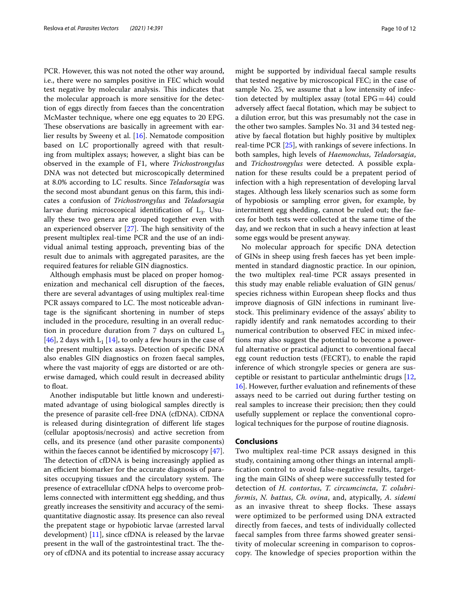PCR. However, this was not noted the other way around, i.e., there were no samples positive in FEC which would test negative by molecular analysis. This indicates that the molecular approach is more sensitive for the detection of eggs directly from faeces than the concentration McMaster technique, where one egg equates to 20 EPG. These observations are basically in agreement with earlier results by Sweeny et al. [\[16](#page-11-5)]. Nematode composition based on LC proportionally agreed with that resulting from multiplex assays; however, a slight bias can be observed in the example of F1, where *Trichostrongylus* DNA was not detected but microscopically determined at 8.0% according to LC results. Since *Teladorsagia* was the second most abundant genus on this farm, this indicates a confusion of *Trichostrongylus* and *Teladorsagia* larvae during microscopical identification of  $L_3$ . Usually these two genera are grouped together even with an experienced observer  $[27]$ . The high sensitivity of the present multiplex real-time PCR and the use of an individual animal testing approach, preventing bias of the result due to animals with aggregated parasites, are the required features for reliable GIN diagnostics.

Although emphasis must be placed on proper homogenization and mechanical cell disruption of the faeces, there are several advantages of using multiplex real-time PCR assays compared to LC. The most noticeable advantage is the signifcant shortening in number of steps included in the procedure, resulting in an overall reduction in procedure duration from 7 days on cultured  $L_3$ [[46\]](#page-11-33), 2 days with  $L_1$  [[14\]](#page-11-3), to only a few hours in the case of the present multiplex assays. Detection of specifc DNA also enables GIN diagnostics on frozen faecal samples, where the vast majority of eggs are distorted or are otherwise damaged, which could result in decreased ability to float.

Another indisputable but little known and underestimated advantage of using biological samples directly is the presence of parasite cell-free DNA (cfDNA). CfDNA is released during disintegration of diferent life stages (cellular apoptosis/necrosis) and active secretion from cells, and its presence (and other parasite components) within the faeces cannot be identified by microscopy [\[47](#page-11-34)]. The detection of cfDNA is being increasingly applied as an efficient biomarker for the accurate diagnosis of parasites occupying tissues and the circulatory system. The presence of extracellular cfDNA helps to overcome problems connected with intermittent egg shedding, and thus greatly increases the sensitivity and accuracy of the semiquantitative diagnostic assay. Its presence can also reveal the prepatent stage or hypobiotic larvae (arrested larval development) [[11\]](#page-11-0), since cfDNA is released by the larvae present in the wall of the gastrointestinal tract. The theory of cfDNA and its potential to increase assay accuracy might be supported by individual faecal sample results that tested negative by microscopical FEC; in the case of sample No. 25, we assume that a low intensity of infection detected by multiplex assay (total  $EPG=44$ ) could adversely afect faecal fotation, which may be subject to a dilution error, but this was presumably not the case in the other two samples. Samples No. 31 and 34 tested negative by faecal fotation but highly positive by multiplex real-time PCR [\[25](#page-11-11)], with rankings of severe infections. In both samples, high levels of *Haemonchus*, *Teladorsagia*, and *Trichostrongylus* were detected. A possible explanation for these results could be a prepatent period of infection with a high representation of developing larval stages. Although less likely scenarios such as some form of hypobiosis or sampling error given, for example, by intermittent egg shedding, cannot be ruled out; the faeces for both tests were collected at the same time of the day, and we reckon that in such a heavy infection at least some eggs would be present anyway.

No molecular approach for specifc DNA detection of GINs in sheep using fresh faeces has yet been implemented in standard diagnostic practice. In our opinion, the two multiplex real-time PCR assays presented in this study may enable reliable evaluation of GIN genus/ species richness within European sheep flocks and thus improve diagnosis of GIN infections in ruminant livestock. This preliminary evidence of the assays' ability to rapidly identify and rank nematodes according to their numerical contribution to observed FEC in mixed infections may also suggest the potential to become a powerful alternative or practical adjunct to conventional faecal egg count reduction tests (FECRT), to enable the rapid inference of which strongyle species or genera are susceptible or resistant to particular anthelmintic drugs [[12](#page-11-1), [16\]](#page-11-5). However, further evaluation and refnements of these assays need to be carried out during further testing on real samples to increase their precision; then they could usefully supplement or replace the conventional coprological techniques for the purpose of routine diagnosis.

## **Conclusions**

Two multiplex real-time PCR assays designed in this study, containing among other things an internal amplifcation control to avoid false-negative results, targeting the main GINs of sheep were successfully tested for detection of *H. contortus*, *T. circumcincta*, *T. colubriformis*, *N. battus*, *Ch. ovina*, and, atypically, *A. sidemi* as an invasive threat to sheep flocks. These assays were optimized to be performed using DNA extracted directly from faeces, and tests of individually collected faecal samples from three farms showed greater sensitivity of molecular screening in comparison to coproscopy. The knowledge of species proportion within the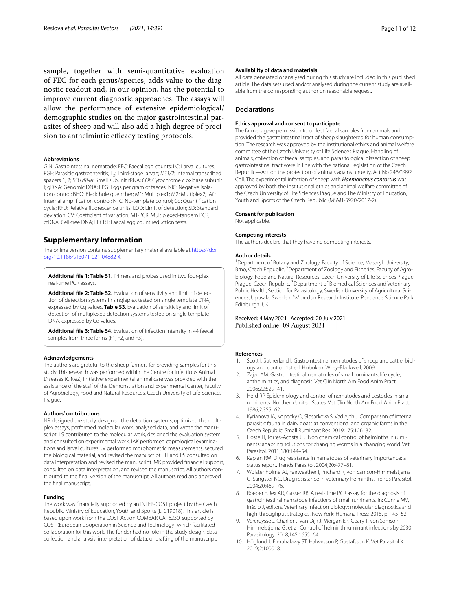sample, together with semi-quantitative evaluation of FEC for each genus/species, adds value to the diagnostic readout and, in our opinion, has the potential to improve current diagnostic approaches. The assays will allow the performance of extensive epidemiological/ demographic studies on the major gastrointestinal parasites of sheep and will also add a high degree of precision to anthelmintic efficacy testing protocols.

#### **Abbreviations**

GIN: Gastrointestinal nematode; FEC: Faecal egg counts; LC: Larval cultures; PGE: Parasitic gastroenteritis; L<sub>3</sub>: Third-stage larvae; *ITS1/2*: Internal transcribed spacers 1, 2; *SSU rRNA*: Small subunit rRNA; *COI*: Cytochrome c oxidase subunit I; gDNA: Genomic DNA; EPG: Eggs per gram of faeces; NIC: Negative isolation control; BHQ: Black hole quencher; M1: Multiplex1; M2: Multiplex2; IAC: Internal amplifcation control; NTC: No-template control; Cq: Quantifcation cycle; RFU: Relative fuorescence units; LOD: Limit of detection; SD: Standard deviation; CV: Coefficient of variation; MT-PCR: Multiplexed-tandem PCR; cfDNA: Cell-free DNA; FECRT: Faecal egg count reduction tests.

## **Supplementary Information**

The online version contains supplementary material available at [https://doi.](https://doi.org/10.1186/s13071-021-04882-4) [org/10.1186/s13071-021-04882-4](https://doi.org/10.1186/s13071-021-04882-4).

<span id="page-10-11"></span><span id="page-10-10"></span>**Additional fle 1: Table S1.** Primers and probes used in two four-plex real-time PCR assays.

**Additional fle 2: Table S2.** Evaluation of sensitivity and limit of detection of detection systems in singleplex tested on single template DNA, expressed by Cq values. **Table S3**. Evaluation of sensitivity and limit of detection of multiplexed detection systems tested on single template DNA, expressed by Cq values.

<span id="page-10-12"></span>**Additional fle 3: Table S4.** Evaluation of infection intensity in 44 faecal samples from three farms (F1, F2, and F3).

#### **Acknowledgements**

The authors are grateful to the sheep farmers for providing samples for this study. This research was performed within the Centre for Infectious Animal Diseases (CINeZ) initiative; experimental animal care was provided with the assistance of the staff of the Demonstration and Experimental Center, Faculty of Agrobiology, Food and Natural Resources, Czech University of Life Sciences Prague.

#### **Authors' contributions**

NR designed the study, designed the detection systems, optimized the multiplex assays, performed molecular work, analysed data, and wrote the manuscript. LS contributed to the molecular work, designed the evaluation system, and consulted on experimental work. IAK performed coprological examinations and larval cultures. JV performed morphometric measurements, secured the biological material, and revised the manuscript. JH and PS consulted on data interpretation and revised the manuscript. MK provided fnancial support, consulted on data interpretation, and revised the manuscript. All authors contributed to the fnal version of the manuscript. All authors read and approved the fnal manuscript.

#### **Funding**

The work was fnancially supported by an INTER-COST project by the Czech Republic Ministry of Education, Youth and Sports (LTC19018). This article is based upon work from the COST Action COMBAR CA16230, supported by COST (European Cooperation in Science and Technology) which facilitated collaboration for this work. The funder had no role in the study design, data collection and analysis, interpretation of data, or drafting of the manuscript.

#### **Availability of data and materials**

All data generated or analysed during this study are included in this published article. The data sets used and/or analysed during the current study are available from the corresponding author on reasonable request.

#### **Declarations**

#### **Ethics approval and consent to participate**

The farmers gave permission to collect faecal samples from animals and provided the gastrointestinal tract of sheep slaughtered for human consumption. The research was approved by the institutional ethics and animal welfare committee of the Czech University of Life Sciences Prague. Handling of animals, collection of faecal samples, and parasitological dissection of sheep gastrointestinal tract were in line with the national legislation of the Czech Republic—Act on the protection of animals against cruelty, Act No 246/1992 Coll. The experimental infection of sheep with *Haemonchus contortus* was approved by both the institutional ethics and animal welfare committee of the Czech University of Life Sciences Prague and The Ministry of Education, Youth and Sports of the Czech Republic (MSMT-5920/2017-2).

#### **Consent for publication**

Not applicable.

#### **Competing interests**

The authors declare that they have no competing interests.

#### **Author details**

<sup>1</sup> Department of Botany and Zoology, Faculty of Science, Masaryk University, Brno, Czech Republic. <sup>2</sup> Department of Zoology and Fisheries, Faculty of Agrobiology, Food and Natural Resources, Czech University of Life Sciences Prague, Prague, Czech Republic. <sup>3</sup> Department of Biomedical Sciences and Veterinary Public Health, Section for Parasitology, Swedish University of Agricultural Sciences, Uppsala, Sweden. <sup>4</sup>Moredun Research Institute, Pentlands Science Park, Edinburgh, UK.

## Received: 4 May 2021 Accepted: 20 July 2021 Published online: 09 August 2021

#### **References**

- <span id="page-10-0"></span>1. Scott I, Sutherland I. Gastrointestinal nematodes of sheep and cattle: biology and control. 1st ed. Hoboken: Wiley-Blackwell; 2009.
- <span id="page-10-1"></span>2. Zajac AM. Gastrointestinal nematodes of small ruminants: life cycle, anthelmintics, and diagnosis. Vet Clin North Am Food Anim Pract. 2006;22:529–41.
- <span id="page-10-2"></span>3. Herd RP. Epidemiology and control of nematodes and cestodes in small ruminants. Northern United States. Vet Clin North Am Food Anim Pract. 1986;2:355–62.
- <span id="page-10-3"></span>4. Kyrianova IA, Kopecky O, Slosarkova S, Vadlejch J. Comparison of internal parasitic fauna in dairy goats at conventional and organic farms in the Czech Republic. Small Ruminant Res. 2019;175:126–32.
- <span id="page-10-4"></span>5. Hoste H, Torres-Acosta JFJ. Non chemical control of helminths in ruminants: adapting solutions for changing worms in a changing world. Vet Parasitol. 2011;180:144–54.
- <span id="page-10-5"></span>6. Kaplan RM. Drug resistance in nematodes of veterinary importance: a status report. Trends Parasitol. 2004;20:477–81.
- <span id="page-10-6"></span>7. Wolstenholme AJ, Fairweather I, Prichard R, von Samson-Himmelstjerna G, Sangster NC. Drug resistance in veterinary helminths. Trends Parasitol. 2004;20:469–76.
- <span id="page-10-7"></span>8. Roeber F, Jex AR, Gasser RB. A real-time PCR assay for the diagnosis of gastrointestinal nematode infections of small ruminants. In: Cunha MV, Inácio J, editors. Veterinary infection biology: molecular diagnostics and high-throughput strategies. New York: Humana Press; 2015. p. 145–52.
- <span id="page-10-8"></span>Vercruysse J, Charlier J, Van Dijk J, Morgan ER, Geary T, von Samson-Himmelstjerna G, et al. Control of helminth ruminant infections by 2030. Parasitology. 2018;145:1655–64.
- <span id="page-10-9"></span>10. Höglund J, Elmahalawy ST, Halvarsson P, Gustafsson K. Vet Parasitol X. 2019;2:100018.